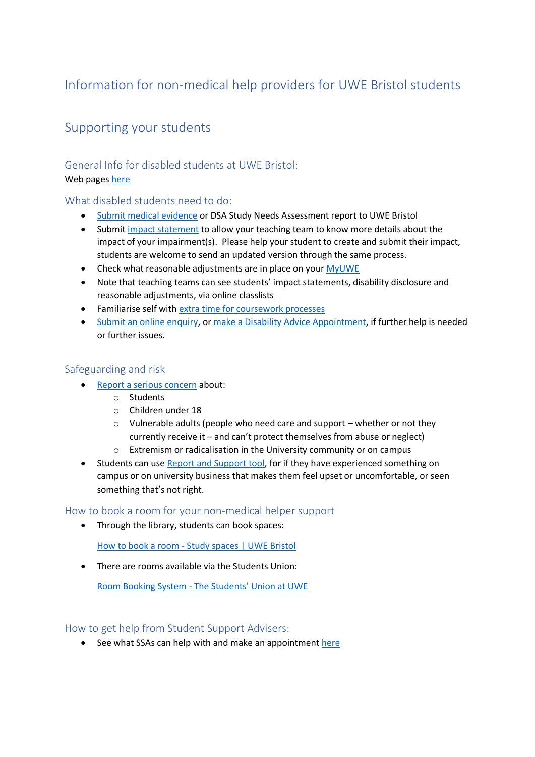# Information for non-medical help providers for UWE Bristol students

# Supporting your students

# General Info for disabled students at UWE Bristol:

# Web pages [here](https://www.uwe.ac.uk/life/health-and-wellbeing/get-disability-support/specialist-mentoring)

# What disabled students need to do:

- [Submit medical evidence](https://www.uwe.ac.uk/life/health-and-wellbeing/get-disability-support/disclosure-for-students#:~:text=Submit%20your%20medical%20evidence,%40uwe.ac.uk.) or DSA Study Needs Assessment report to UWE Bristol
- Submit [impact statement](https://www.uwe.ac.uk/life/health-and-wellbeing/get-disability-support/impact-statement) to allow your teaching team to know more details about the impact of your impairment(s). Please help your student to create and submit their impact, students are welcome to send an updated version through the same process.
- Check what reasonable adjustments are in place on your [MyUWE](https://info.uwe.ac.uk/myuwe/)
- Note that teaching teams can see students' impact statements, disability disclosure and reasonable adjustments, via online classlists
- Familiarise self with [extra time for coursework processes](https://www.uwe.ac.uk/life/health-and-wellbeing/get-disability-support/reasonable-adjustment)
- [Submit an online enquiry,](https://info.uwe.ac.uk/ssd/default.asp) o[r make a Disability Advice Appointment,](https://www.uwe.ac.uk/life/health-and-wellbeing/get-disability-support/contact-us) if further help is needed or further issues.

# Safeguarding and risk

- [Report a serious concern](https://www.uwe.ac.uk/life/health-and-wellbeing/staying-safe-on-and-off-campus/safeguarding) about:
	- o Students
	- o Children under 18
	- o Vulnerable adults (people who need care and support whether or not they currently receive it – and can't protect themselves from abuse or neglect)
	- o Extremism or radicalisation in the University community or on campus
- Students can use [Report and Support tool,](https://www.uwe.ac.uk/life/health-and-wellbeing/staying-safe-on-and-off-campus/report-and-support) for if they have experienced something on campus or on university business that makes them feel upset or uncomfortable, or seen something that's not right.

## How to book a room for your non-medical helper support

• Through the library, students can book spaces:

[How to book a room -](https://www.uwe.ac.uk/study/study-support/study-spaces/book-a-room) Study spaces | UWE Bristol

• There are rooms available via the Students Union:

Room Booking System - [The Students' Union at UWE](https://eur01.safelinks.protection.outlook.com/?url=https%3A%2F%2Fthestudentsunionatuwe.roombookingsystem.co.uk%2Fuser%2Ftutorial&data=04%7C01%7CNicola.Bolt%40uwe.ac.uk%7Cca4fcdc962b14b38eb8a08d9880611a0%7C07ef1208413c4b5e9cdd64ef305754f0%7C0%7C0%7C637690381904072996%7CUnknown%7CTWFpbGZsb3d8eyJWIjoiMC4wLjAwMDAiLCJQIjoiV2luMzIiLCJBTiI6Ik1haWwiLCJXVCI6Mn0%3D%7C1000&sdata=zgkN0cPV0zlHoxRzpPBV7%2BFOwQ9FYvz5bsqhSKeoDfY%3D&reserved=0)

How to get help from Student Support Advisers:

• See what SSAs can help with and make an appointment [here](https://www.uwe.ac.uk/study/study-support/student-support-advisers)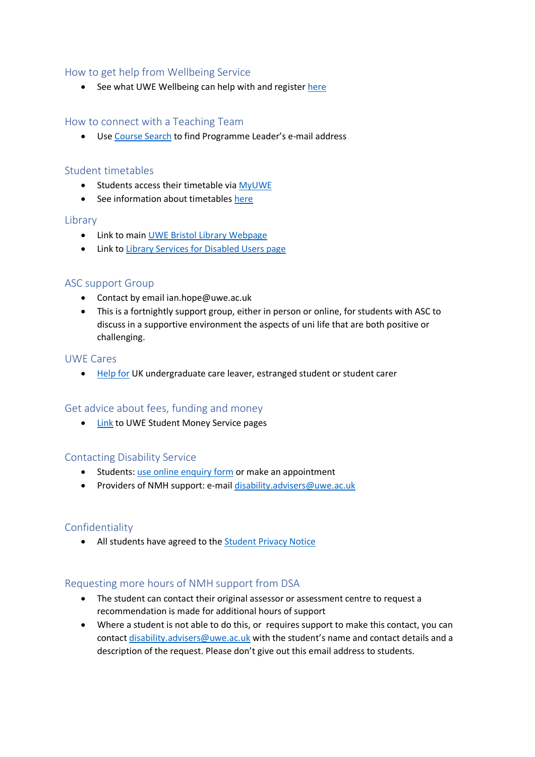## How to get help from Wellbeing Service

• See what UWE Wellbeing can help with and registe[r here](https://www.uwe.ac.uk/life/health-and-wellbeing/get-wellbeing-support/wellbeing-service)

# How to connect with a Teaching Team

• Us[e Course Search](https://courses.uwe.ac.uk/Search) to find Programme Leader's e-mail address

## Student timetables

- Students access their timetable via [MyUWE](https://info.uwe.ac.uk/myuwe/)
- See information about timetables [here](https://info.uwe.ac.uk/myuwe/guidance/courses/timetable.asp)

#### Library

- Link to main UWE Bristol [Library Webpage](https://www.uwe.ac.uk/study/library)
- Link to [Library Services for Disabled Users page](https://www.uwe.ac.uk/study/library/disabled-users)

## ASC support Group

- Contact by email ian.hope@uwe.ac.uk
- This is a fortnightly support group, either in person or online, for students with ASC to discuss in a supportive environment the aspects of uni life that are both positive or challenging.

#### UWE Cares

• [Help for](https://www.uwe.ac.uk/life/health-and-wellbeing/uwe-cares/uwe-cares-support) UK undergraduate care leaver, estranged student or student carer

## Get advice about fees, funding and money

• [Link](https://www.uwe.ac.uk/life/money-and-finance/student-money-service) to UWE Student Money Service pages

## Contacting Disability Service

- Students: [use online enquiry form](https://info.uwe.ac.uk/ssd/default.asp) or make an appointment
- Providers of NMH support: e-mail [disability.advisers@uwe.ac.uk](mailto:disability.advisers@uwe.ac.uk)

## Confidentiality

• All students have agreed to the [Student Privacy Notice](https://www.uwe.ac.uk/about/structure-and-governance/data-protection/privacy-notices/student-privacy-notice)

## Requesting more hours of NMH support from DSA

- The student can contact their original assessor or assessment centre to request a recommendation is made for additional hours of support
- Where a student is not able to do this, or requires support to make this contact, you can contact [disability.advisers@uwe.ac.uk](mailto:disability.advisers@uwe.ac.uk) with the student's name and contact details and a description of the request. Please don't give out this email address to students.